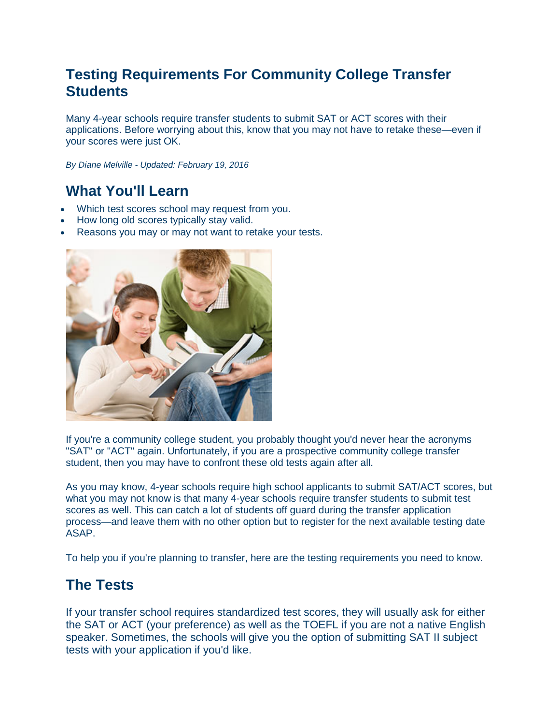# **Testing Requirements For Community College Transfer Students**

Many 4-year schools require transfer students to submit SAT or ACT scores with their applications. Before worrying about this, know that you may not have to retake these—even if your scores were just OK.

*By Diane Melville - Updated: February 19, 2016*

## **What You'll Learn**

- Which test scores school may request from you.
- How long old scores typically stay valid.
- Reasons you may or may not want to retake your tests.



If you're a community college student, you probably thought you'd never hear the acronyms "SAT" or "ACT" again. Unfortunately, if you are a prospective community college transfer student, then you may have to confront these old tests again after all.

As you may know, 4-year schools require high school applicants to submit SAT/ACT scores, but what you may not know is that many 4-year schools require transfer students to submit test scores as well. This can catch a lot of students off guard during the transfer application process—and leave them with no other option but to register for the next available testing date ASAP.

To help you if you're planning to transfer, here are the testing requirements you need to know.

### **The Tests**

If your transfer school requires standardized test scores, they will usually ask for either the SAT or ACT (your preference) as well as the TOEFL if you are not a native English speaker. Sometimes, the schools will give you the option of submitting SAT II subject tests with your application if you'd like.